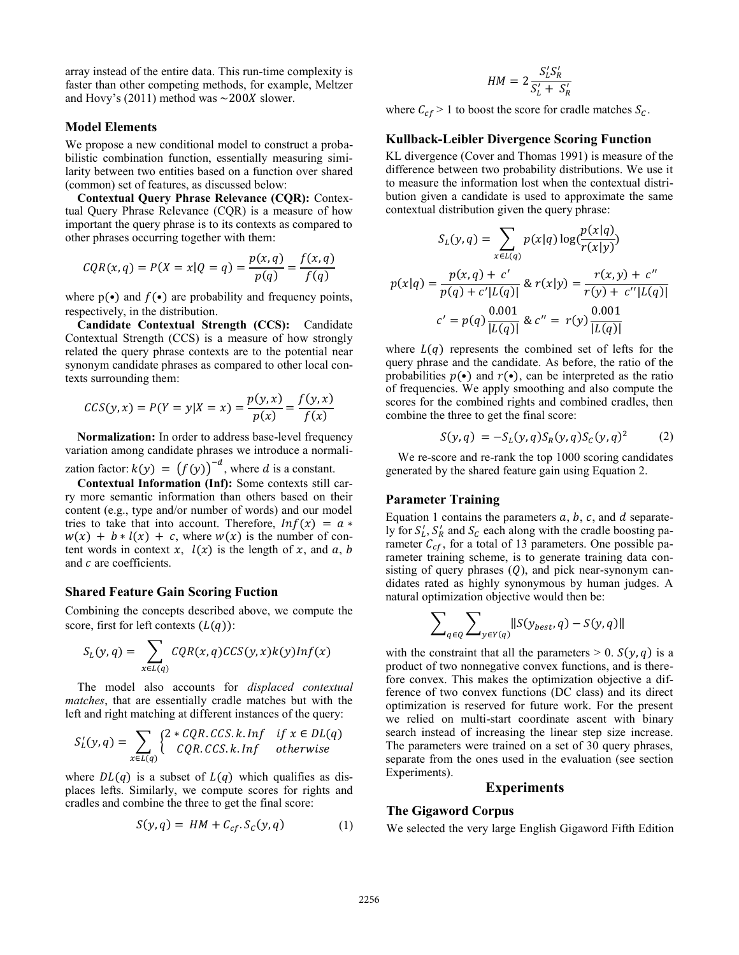array instead of the entire data. This run-time complexity is faster than other competing methods, for example, Meltzer and Hovy's (2011) method was  $\sim$ 200X slower.

#### **Model Elements**

We propose a new conditional model to construct a probabilistic combination function, essentially measuring similarity between two entities based on a function over shared (common) set of features, as discussed below:

**Contextual Query Phrase Relevance (CQR):** Contextual Query Phrase Relevance (CQR) is a measure of how important the query phrase is to its contexts as compared to other phrases occurring together with them:

$$
CQR(x, q) = P(X = x | Q = q) = \frac{p(x, q)}{p(q)} = \frac{f(x, q)}{f(q)}
$$

where  $p(\bullet)$  and  $f(\bullet)$  are probability and frequency points, respectively, in the distribution.

**Candidate Contextual Strength (CCS):** Candidate Contextual Strength (CCS) is a measure of how strongly related the query phrase contexts are to the potential near synonym candidate phrases as compared to other local contexts surrounding them:

$$
CCS(y, x) = P(Y = y | X = x) = \frac{p(y, x)}{p(x)} = \frac{f(y, x)}{f(x)}
$$

**Normalization:** In order to address base-level frequency variation among candidate phrases we introduce a normalization factor:  $k(y) = (f(y))^{-d}$ , where d is a constant.

**Contextual Information (Inf):** Some contexts still carry more semantic information than others based on their content (e.g., type and/or number of words) and our model tries to take that into account. Therefore,  $Inf(x) = a *$  $w(x) + b * l(x) + c$ , where  $w(x)$  is the number of content words in context x,  $l(x)$  is the length of x, and a, b and  $c$  are coefficients.

#### **Shared Feature Gain Scoring Fuction**

Combining the concepts described above, we compute the score, first for left contexts  $(L(q))$ :

$$
S_L(y,q) = \sum_{x \in L(q)} CQR(x,q)CCS(y,x)k(y)Inf(x)
$$

The model also accounts for *displaced contextual matches*, that are essentially cradle matches but with the left and right matching at different instances of the query:

$$
S'_L(y,q) = \sum_{x \in L(q)} \begin{cases} 2 * CQR.CCS.k. \text{Inf} & \text{if } x \in DL(q) \\ CQR.CCS.k. \text{Inf} & \text{otherwise} \end{cases}
$$

where  $DL(q)$  is a subset of  $L(q)$  which qualifies as displaces lefts. Similarly, we compute scores for rights and cradles and combine the three to get the final score:

$$
S(y, q) = HM + C_{cf}.S_c(y, q)
$$
 (1)

$$
HM = 2\frac{S'_L S'_R}{S'_L + S'_R}
$$

where  $C_{cf} > 1$  to boost the score for cradle matches  $S_c$ .

### **Kullback-Leibler Divergence Scoring Function**

KL divergence (Cover and Thomas 1991) is measure of the difference between two probability distributions. We use it to measure the information lost when the contextual distribution given a candidate is used to approximate the same contextual distribution given the query phrase:

 $\sim$  1.  $\sim$ 

$$
S_L(y, q) = \sum_{x \in L(q)} p(x|q) \log(\frac{p(x|q)}{r(x|y)})
$$

$$
p(x|q) = \frac{p(x, q) + c'}{p(q) + c'|L(q)|} \& r(x|y) = \frac{r(x, y) + c''}{r(y) + c''|L(q)|}
$$

$$
c' = p(q) \frac{0.001}{|L(q)|} \& c'' = r(y) \frac{0.001}{|L(q)|}
$$

where  $L(q)$  represents the combined set of lefts for the query phrase and the candidate. As before, the ratio of the probabilities  $p(\cdot)$  and  $r(\cdot)$ , can be interpreted as the ratio of frequencies. We apply smoothing and also compute the scores for the combined rights and combined cradles, then combine the three to get the final score:

$$
S(y, q) = -S_L(y, q)S_R(y, q)S_C(y, q)^2 \tag{2}
$$

We re-score and re-rank the top 1000 scoring candidates generated by the shared feature gain using Equation 2.

#### **Parameter Training**

Equation 1 contains the parameters  $a, b, c$ , and  $d$  separately for  $S_L$ ,  $S_R$  and  $S_C$  each along with the cradle boosting parameter  $C_{cf}$ , for a total of 13 parameters. One possible parameter training scheme, is to generate training data consisting of query phrases  $(Q)$ , and pick near-synonym candidates rated as highly synonymous by human judges. A natural optimization objective would then be:

$$
\sum_{q \in Q} \sum_{y \in Y(q)} \|S(y_{best}, q) - S(y, q)\|
$$

with the constraint that all the parameters  $> 0$ .  $S(y, q)$  is a product of two nonnegative convex functions, and is therefore convex. This makes the optimization objective a difference of two convex functions (DC class) and its direct optimization is reserved for future work. For the present we relied on multi-start coordinate ascent with binary search instead of increasing the linear step size increase. The parameters were trained on a set of 30 query phrases, separate from the ones used in the evaluation (see section Experiments).

### **Experiments**

### **The Gigaword Corpus**

We selected the very large English Gigaword Fifth Edition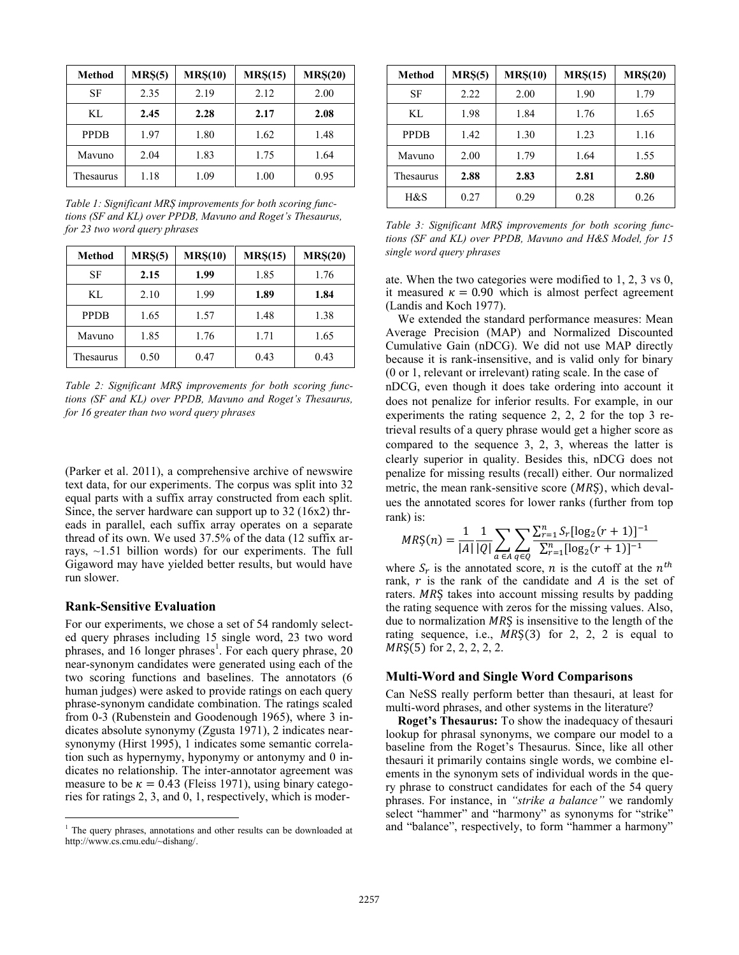| Method      | MRS(5) | MRS(10) | MRS(15) | MRS(20) |
|-------------|--------|---------|---------|---------|
| SF          | 2.35   | 2.19    | 2.12    | 2.00    |
| KL.         | 2.45   | 2.28    | 2.17    | 2.08    |
| <b>PPDB</b> | 1.97   | 1.80    | 1.62    | 1.48    |
| Mavuno      | 2.04   | 1.83    | 1.75    | 1.64    |
| Thesaurus   | 1.18   | 1.09    | 1.00    | 0.95    |

*Table 1: Significant MRȘ improvements for both scoring functions (SF and KL) over PPDB, Mavuno and Roget's Thesaurus, for 23 two word query phrases* 

| <b>Method</b> | MRS(5) | MRS(10) | MRS(15) | MRS(20) |
|---------------|--------|---------|---------|---------|
| SF            | 2.15   | 1.99    | 1.85    | 1.76    |
| KL            | 2.10   | 1.99    | 1.89    | 1.84    |
| <b>PPDB</b>   | 1.65   | 1.57    | 1.48    | 1.38    |
| Mavuno        | 1.85   | 1.76    | 1.71    | 1.65    |
| Thesaurus     | 0.50   | 0.47    | 0.43    | 0.43    |

*Table 2: Significant MRȘ improvements for both scoring functions (SF and KL) over PPDB, Mavuno and Roget's Thesaurus, for 16 greater than two word query phrases* 

(Parker et al. 2011), a comprehensive archive of newswire text data, for our experiments. The corpus was split into 32 equal parts with a suffix array constructed from each split. Since, the server hardware can support up to 32 (16x2) threads in parallel, each suffix array operates on a separate thread of its own. We used 37.5% of the data (12 suffix arrays,  $\sim$ 1.51 billion words) for our experiments. The full Gigaword may have yielded better results, but would have run slower.

## **Rank-Sensitive Evaluation**

 $\overline{a}$ 

For our experiments, we chose a set of 54 randomly selected query phrases including 15 single word, 23 two word phrases, and 16 longer phrases<sup>1</sup>. For each query phrase, 20 near-synonym candidates were generated using each of the two scoring functions and baselines. The annotators (6 human judges) were asked to provide ratings on each query phrase-synonym candidate combination. The ratings scaled from 0-3 (Rubenstein and Goodenough 1965), where 3 indicates absolute synonymy (Zgusta 1971), 2 indicates nearsynonymy (Hirst 1995), 1 indicates some semantic correlation such as hypernymy, hyponymy or antonymy and 0 indicates no relationship. The inter-annotator agreement was measure to be  $\kappa = 0.43$  (Fleiss 1971), using binary categories for ratings 2, 3, and 0, 1, respectively, which is moder-

| Method      | MR <sub>5</sub> (5) | MR\$(10) | MRS(15) | MR\$(20) |
|-------------|---------------------|----------|---------|----------|
| SF          | 2.22                | 2.00     | 1.90    | 1.79     |
| KL          | 1.98                | 1.84     | 1.76    | 1.65     |
| <b>PPDB</b> | 1.42                | 1.30     | 1.23    | 1.16     |
| Mavuno      | 2.00                | 1.79     | 1.64    | 1.55     |
| Thesaurus   | 2.88                | 2.83     | 2.81    | 2.80     |
| H&S         | 0.27                | 0.29     | 0.28    | 0.26     |

*Table 3: Significant MRȘ improvements for both scoring functions (SF and KL) over PPDB, Mavuno and H&S Model, for 15 single word query phrases*

ate. When the two categories were modified to 1, 2, 3 vs 0, it measured  $\kappa = 0.90$  which is almost perfect agreement (Landis and Koch 1977).

We extended the standard performance measures: Mean Average Precision (MAP) and Normalized Discounted Cumulative Gain (nDCG). We did not use MAP directly because it is rank-insensitive, and is valid only for binary (0 or 1, relevant or irrelevant) rating scale. In the case of

nDCG, even though it does take ordering into account it does not penalize for inferior results. For example, in our experiments the rating sequence 2, 2, 2 for the top 3 retrieval results of a query phrase would get a higher score as compared to the sequence 3, 2, 3, whereas the latter is clearly superior in quality. Besides this, nDCG does not penalize for missing results (recall) either. Our normalized metric, the mean rank-sensitive score  $(MR\varsigma)$ , which devalues the annotated scores for lower ranks (further from top rank) is:

$$
MR\zeta(n) = \frac{1}{|A|} \frac{1}{|Q|} \sum_{a \in A} \sum_{q \in Q} \frac{\sum_{r=1}^{n} S_r [\log_2(r+1)]^{-1}}{\sum_{r=1}^{n} [\log_2(r+1)]^{-1}}
$$

where  $S_r$  is the annotated score, n is the cutoff at the  $n^t$ rank,  $r$  is the rank of the candidate and  $\hat{A}$  is the set of raters. MRS takes into account missing results by padding the rating sequence with zeros for the missing values. Also, due to normalization  $MRS$  is insensitive to the length of the rating sequence, i.e.,  $MRS(3)$  for 2, 2, 2 is equal to  $MRS(5)$  for 2, 2, 2, 2, 2.

# **Multi-Word and Single Word Comparisons**

Can NeSS really perform better than thesauri, at least for multi-word phrases, and other systems in the literature?

**Roget's Thesaurus:** To show the inadequacy of thesauri lookup for phrasal synonyms, we compare our model to a baseline from the Roget's Thesaurus. Since, like all other thesauri it primarily contains single words, we combine elements in the synonym sets of individual words in the query phrase to construct candidates for each of the 54 query phrases. For instance, in *"strike a balance"* we randomly select "hammer" and "harmony" as synonyms for "strike" and "balance", respectively, to form "hammer a harmony"

<sup>&</sup>lt;sup>1</sup> The query phrases, annotations and other results can be downloaded at http://www.cs.cmu.edu/~dishang/.